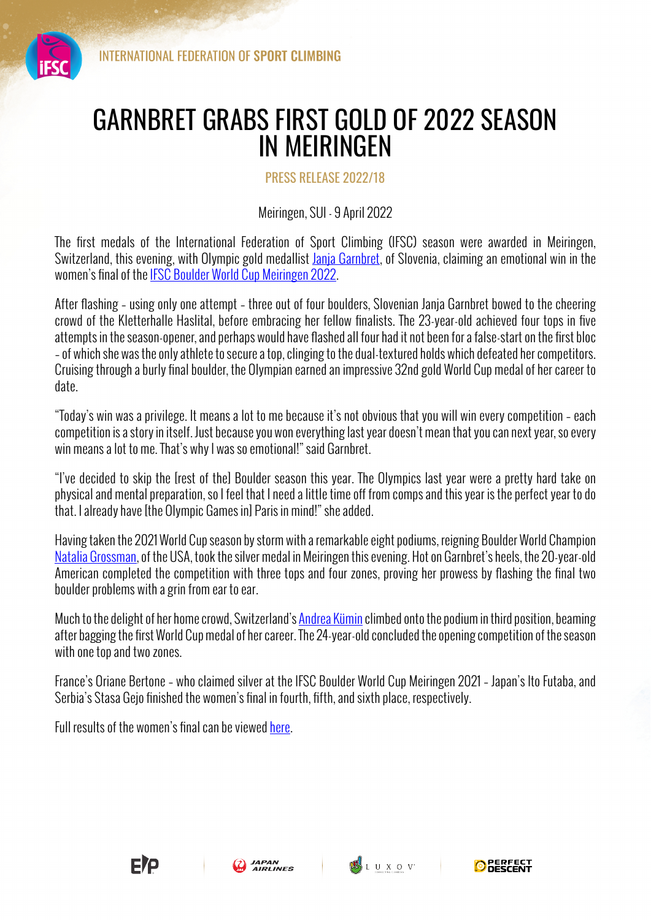

## GARNBRET GRABS FIRST GOLD OF 2022 SEASON IN MEIRINGEN

## PRESS RELEASE 2022/18

## Meiringen, SUI - 9 April 2022

The first medals of the International Federation of Sport Climbing (IFSC) season were awarded in Meiringen, Switzerland, this evening, with Olympic gold medallist Janja Garnbret, of Slovenia, claiming an emotional win in the women's final of the IFSC Boulder World Cup Meiringen 2022.

After flashing – using only one attempt – three out of four boulders, Slovenian Janja Garnbret bowed to the cheering crowd of the Kletterhalle Haslital, before embracing her fellow finalists. The 23-year-old achieved four tops in five attempts in the season-opener, and perhaps would have flashed all four had it not been for a false-start on the first bloc – of which she was the only athlete to secure a top, clinging to the dual-textured holds which defeated her competitors. Cruising through a burly final boulder, the Olympian earned an impressive 32nd gold World Cup medal of her career to date.

"Today's win was a privilege. It means a lot to me because it's not obvious that you will win every competition – each competition is a story in itself. Just because you won everything last year doesn't mean that you can next year, so every win means a lot to me. That's why I was so emotional!" said Garnbret.

"I've decided to skip the [rest of the] Boulder season this year. The Olympics last year were a pretty hard take on physical and mental preparation, so I feel that I need a little time off from comps and this year is the perfect year to do that. I already have [the Olympic Games in] Paris in mind!" she added.

Having taken the 2021 World Cup season by storm with a remarkable eight podiums, reigning Boulder World Champion Natalia Grossman, of the USA, took the silver medal in Meiringen this evening. Hot on Garnbret's heels, the 20-year-old American completed the competition with three tops and four zones, proving her prowess by flashing the final two boulder problems with a grin from ear to ear.

Much to the delight of her home crowd, Switzerland's Andrea Kümin climbed onto the podium in third position, beaming after bagging the first World Cup medal of her career. The 24-year-old concluded the opening competition of the season with one top and two zones.

France's Oriane Bertone – who claimed silver at the IFSC Boulder World Cup Meiringen 2021 – Japan's Ito Futaba, and Serbia's Stasa Gejo finished the women's final in fourth, fifth, and sixth place, respectively.

Full results of the women's final can be viewed here.